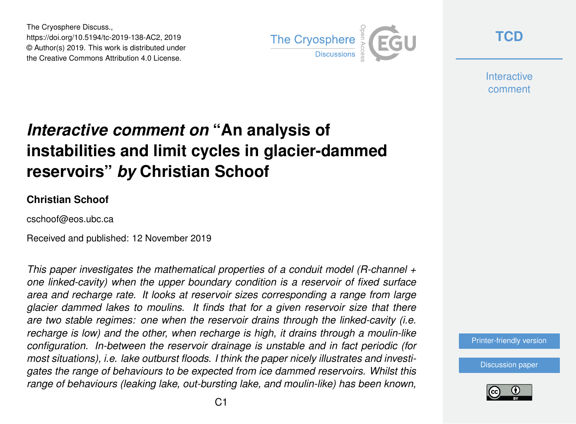The Cryosphere Discuss., https://doi.org/10.5194/tc-2019-138-AC2, 2019 © Author(s) 2019. This work is distributed under the Creative Commons Attribution 4.0 License.



**[TCD](https://www.the-cryosphere-discuss.net/)**

**Interactive** comment

# *Interactive comment on* **"An analysis of instabilities and limit cycles in glacier-dammed reservoirs"** *by* **Christian Schoof**

#### **Christian Schoof**

cschoof@eos.ubc.ca

Received and published: 12 November 2019

*This paper investigates the mathematical properties of a conduit model (R-channel + one linked-cavity) when the upper boundary condition is a reservoir of fixed surface area and recharge rate. It looks at reservoir sizes corresponding a range from large glacier dammed lakes to moulins. It finds that for a given reservoir size that there are two stable regimes: one when the reservoir drains through the linked-cavity (i.e. recharge is low) and the other, when recharge is high, it drains through a moulin-like configuration. In-between the reservoir drainage is unstable and in fact periodic (for most situations), i.e. lake outburst floods. I think the paper nicely illustrates and investigates the range of behaviours to be expected from ice dammed reservoirs. Whilst this range of behaviours (leaking lake, out-bursting lake, and moulin-like) has been known,*

[Printer-friendly version](https://www.the-cryosphere-discuss.net/tc-2019-138/tc-2019-138-AC2-print.pdf)

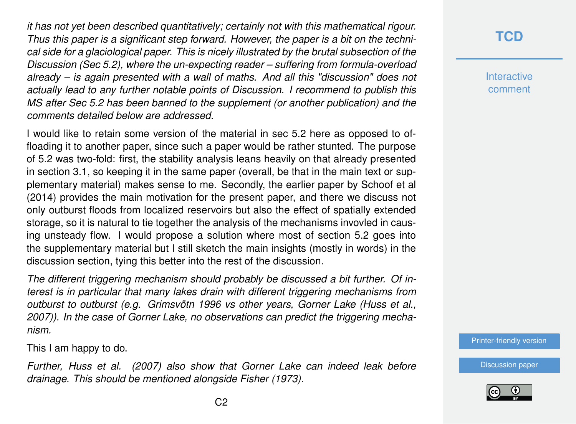*it has not yet been described quantitatively; certainly not with this mathematical rigour. Thus this paper is a significant step forward. However, the paper is a bit on the technical side for a glaciological paper. This is nicely illustrated by the brutal subsection of the Discussion (Sec 5.2), where the un-expecting reader – suffering from formula-overload already – is again presented with a wall of maths. And all this "discussion" does not actually lead to any further notable points of Discussion. I recommend to publish this MS after Sec 5.2 has been banned to the supplement (or another publication) and the comments detailed below are addressed.*

I would like to retain some version of the material in sec 5.2 here as opposed to offloading it to another paper, since such a paper would be rather stunted. The purpose of 5.2 was two-fold: first, the stability analysis leans heavily on that already presented in section 3.1, so keeping it in the same paper (overall, be that in the main text or supplementary material) makes sense to me. Secondly, the earlier paper by Schoof et al (2014) provides the main motivation for the present paper, and there we discuss not only outburst floods from localized reservoirs but also the effect of spatially extended storage, so it is natural to tie together the analysis of the mechanisms invovled in causing unsteady flow. I would propose a solution where most of section 5.2 goes into the supplementary material but I still sketch the main insights (mostly in words) in the discussion section, tying this better into the rest of the discussion.

*The different triggering mechanism should probably be discussed a bit further. Of interest is in particular that many lakes drain with different triggering mechanisms from outburst to outburst (e.g. Grimsvötn 1996 vs other years, Gorner Lake (Huss et al., 2007)). In the case of Gorner Lake, no observations can predict the triggering mechanism.*

This I am happy to do.

*Further, Huss et al. (2007) also show that Gorner Lake can indeed leak before drainage. This should be mentioned alongside Fisher (1973).*

#### **[TCD](https://www.the-cryosphere-discuss.net/)**

**Interactive** comment

[Printer-friendly version](https://www.the-cryosphere-discuss.net/tc-2019-138/tc-2019-138-AC2-print.pdf)

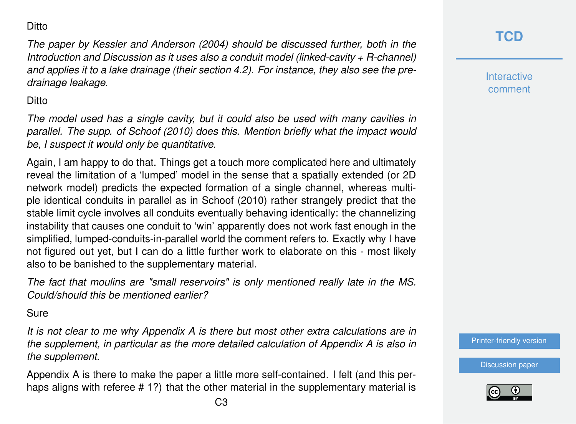#### **Ditto**

*The paper by Kessler and Anderson (2004) should be discussed further, both in the Introduction and Discussion as it uses also a conduit model (linked-cavity + R-channel) and applies it to a lake drainage (their section 4.2). For instance, they also see the predrainage leakage.*

#### **Ditto**

*The model used has a single cavity, but it could also be used with many cavities in parallel. The supp. of Schoof (2010) does this. Mention briefly what the impact would be, I suspect it would only be quantitative.*

Again, I am happy to do that. Things get a touch more complicated here and ultimately reveal the limitation of a 'lumped' model in the sense that a spatially extended (or 2D network model) predicts the expected formation of a single channel, whereas multiple identical conduits in parallel as in Schoof (2010) rather strangely predict that the stable limit cycle involves all conduits eventually behaving identically: the channelizing instability that causes one conduit to 'win' apparently does not work fast enough in the simplified, lumped-conduits-in-parallel world the comment refers to. Exactly why I have not figured out yet, but I can do a little further work to elaborate on this - most likely also to be banished to the supplementary material.

*The fact that moulins are "small reservoirs" is only mentioned really late in the MS. Could/should this be mentioned earlier?*

#### **Sure**

*It is not clear to me why Appendix A is there but most other extra calculations are in the supplement, in particular as the more detailed calculation of Appendix A is also in the supplement.*

Appendix A is there to make the paper a little more self-contained. I felt (and this perhaps aligns with referee # 1?) that the other material in the supplementary material is **Interactive** comment

[Printer-friendly version](https://www.the-cryosphere-discuss.net/tc-2019-138/tc-2019-138-AC2-print.pdf)

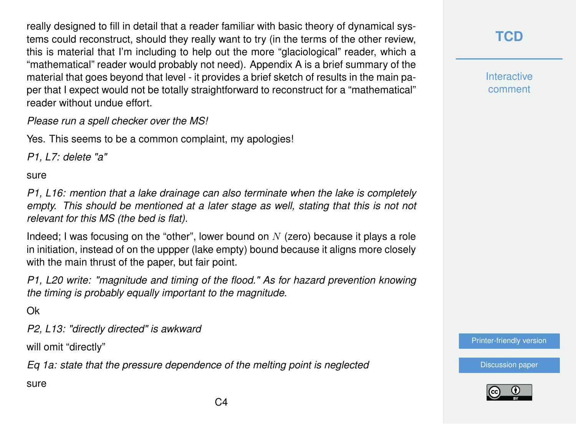really designed to fill in detail that a reader familiar with basic theory of dynamical systems could reconstruct, should they really want to try (in the terms of the other review, this is material that I'm including to help out the more "glaciological" reader, which a "mathematical" reader would probably not need). Appendix A is a brief summary of the material that goes beyond that level - it provides a brief sketch of results in the main paper that I expect would not be totally straightforward to reconstruct for a "mathematical" reader without undue effort.

*Please run a spell checker over the MS!*

Yes. This seems to be a common complaint, my apologies!

*P1, L7: delete "a"*

sure

*P1, L16: mention that a lake drainage can also terminate when the lake is completely empty. This should be mentioned at a later stage as well, stating that this is not not relevant for this MS (the bed is flat).*

Indeed; I was focusing on the "other", lower bound on  $N$  (zero) because it plays a role in initiation, instead of on the uppper (lake empty) bound because it aligns more closely with the main thrust of the paper, but fair point.

*P1, L20 write: "magnitude and timing of the flood." As for hazard prevention knowing the timing is probably equally important to the magnitude.*

Ok

*P2, L13: "directly directed" is awkward*

will omit "directly"

*Eq 1a: state that the pressure dependence of the melting point is neglected*

sure

#### **[TCD](https://www.the-cryosphere-discuss.net/)**

**Interactive** comment

[Printer-friendly version](https://www.the-cryosphere-discuss.net/tc-2019-138/tc-2019-138-AC2-print.pdf)

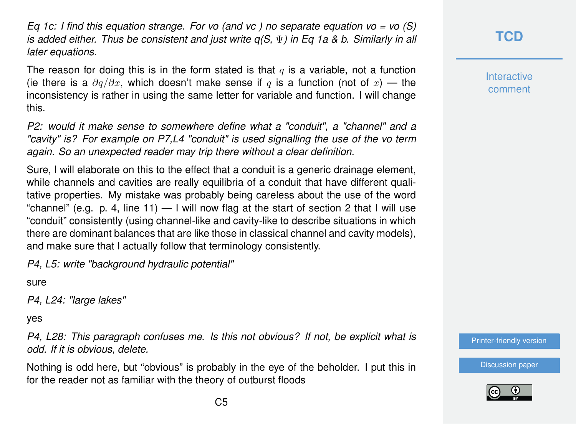*Eq 1c: I find this equation strange. For vo (and vc ) no separate equation vo = vo (S) is added either. Thus be consistent and just write q(S,* Ψ*) in Eq 1a & b. Similarly in all later equations.*

The reason for doing this is in the form stated is that  $q$  is a variable, not a function (ie there is a  $\partial q/\partial x$ , which doesn't make sense if q is a function (not of x) — the inconsistency is rather in using the same letter for variable and function. I will change this.

*P2: would it make sense to somewhere define what a "conduit", a "channel" and a "cavity" is? For example on P7,L4 "conduit" is used signalling the use of the vo term again. So an unexpected reader may trip there without a clear definition.*

Sure, I will elaborate on this to the effect that a conduit is a generic drainage element, while channels and cavities are really equilibria of a conduit that have different qualitative properties. My mistake was probably being careless about the use of the word "channel" (e.g. p. 4, line 11)  $-$  I will now flag at the start of section 2 that I will use "conduit" consistently (using channel-like and cavity-like to describe situations in which there are dominant balances that are like those in classical channel and cavity models), and make sure that I actually follow that terminology consistently.

*P4, L5: write "background hydraulic potential"*

sure

*P4, L24: "large lakes"*

yes

*P4, L28: This paragraph confuses me. Is this not obvious? If not, be explicit what is odd. If it is obvious, delete.*

Nothing is odd here, but "obvious" is probably in the eye of the beholder. I put this in for the reader not as familiar with the theory of outburst floods

### **[TCD](https://www.the-cryosphere-discuss.net/)**

**Interactive** comment

[Printer-friendly version](https://www.the-cryosphere-discuss.net/tc-2019-138/tc-2019-138-AC2-print.pdf)

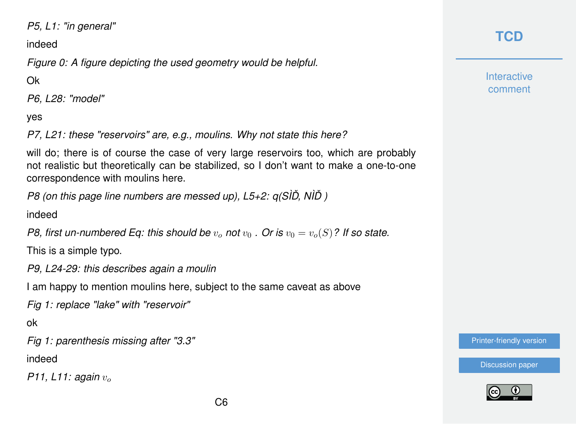*P5, L1: "in general"*

indeed

*Figure 0: A figure depicting the used geometry would be helpful.*

Ok

*P6, L28: "model"*

yes

*P7, L21: these "reservoirs" are, e.g., moulins. Why not state this here?*

will do; there is of course the case of very large reservoirs too, which are probably not realistic but theoretically can be stabilized, so I don't want to make a one-to-one correspondence with moulins here.

*P8 (on this page line numbers are messed up), L5+2: q(SÌD, NÌD)* 

indeed

*P8, first un-numbered Eq: this should be*  $v_0$  *not*  $v_0$  *. Or is*  $v_0 = v_0(S)$ ? If so state.

This is a simple typo.

*P9, L24-29: this describes again a moulin*

I am happy to mention moulins here, subject to the same caveat as above

*Fig 1: replace "lake" with "reservoir"*

ok

*Fig 1: parenthesis missing after "3.3"*

indeed

*P11, L11: again*  $v_{o}$ 

### **[TCD](https://www.the-cryosphere-discuss.net/)**

**Interactive** comment

[Printer-friendly version](https://www.the-cryosphere-discuss.net/tc-2019-138/tc-2019-138-AC2-print.pdf)

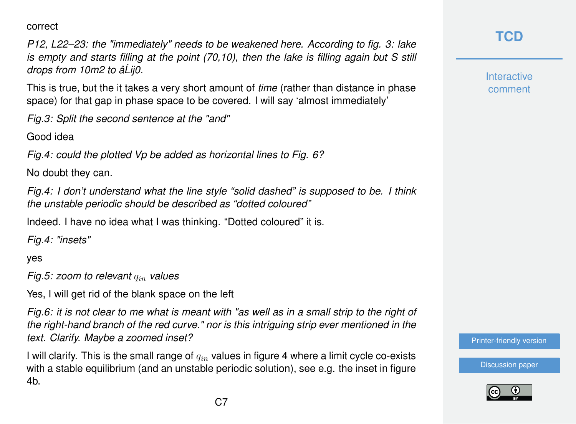correct

*P12, L22–23: the "immediately" needs to be weakened here. According to fig. 3: lake is empty and starts filling at the point (70,10), then the lake is filling again but S still drops from 10m2 to âLij0. ´*

This is true, but the it takes a very short amount of *time* (rather than distance in phase space) for that gap in phase space to be covered. I will say 'almost immediately'

*Fig.3: Split the second sentence at the "and"*

Good idea

*Fig.4: could the plotted Vp be added as horizontal lines to Fig. 6?*

No doubt they can.

*Fig.4: I don't understand what the line style "solid dashed" is supposed to be. I think the unstable periodic should be described as "dotted coloured"*

Indeed. I have no idea what I was thinking. "Dotted coloured" it is.

*Fig.4: "insets"*

yes

*Fig.5: zoom to relevant*  $q_{in}$  *values* 

Yes, I will get rid of the blank space on the left

*Fig.6: it is not clear to me what is meant with "as well as in a small strip to the right of the right-hand branch of the red curve." nor is this intriguing strip ever mentioned in the text. Clarify. Maybe a zoomed inset?*

I will clarify. This is the small range of  $q_{in}$  values in figure 4 where a limit cycle co-exists with a stable equilibrium (and an unstable periodic solution), see e.g. the inset in figure 4b.

# **[TCD](https://www.the-cryosphere-discuss.net/)**

**Interactive** comment

[Printer-friendly version](https://www.the-cryosphere-discuss.net/tc-2019-138/tc-2019-138-AC2-print.pdf)

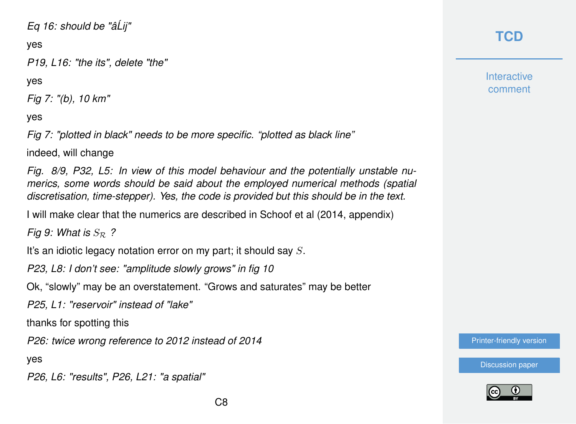#### *Eq 16: should be "âLij" ´*

yes

*P19, L16: "the its", delete "the"*

yes

*Fig 7: "(b), 10 km"*

yes

*Fig 7: "plotted in black" needs to be more specific. "plotted as black line"*

indeed, will change

*Fig. 8/9, P32, L5: In view of this model behaviour and the potentially unstable numerics, some words should be said about the employed numerical methods (spatial discretisation, time-stepper). Yes, the code is provided but this should be in the text.*

I will make clear that the numerics are described in Schoof et al (2014, appendix)

*Fig 9: What is*  $S_{R}$  ?

It's an idiotic legacy notation error on my part; it should say S.

*P23, L8: I don't see: "amplitude slowly grows" in fig 10*

Ok, "slowly" may be an overstatement. "Grows and saturates" may be better

*P25, L1: "reservoir" instead of "lake"*

thanks for spotting this

*P26: twice wrong reference to 2012 instead of 2014*

yes

*P26, L6: "results", P26, L21: "a spatial"*

# **[TCD](https://www.the-cryosphere-discuss.net/)**

**Interactive** comment

[Printer-friendly version](https://www.the-cryosphere-discuss.net/tc-2019-138/tc-2019-138-AC2-print.pdf)